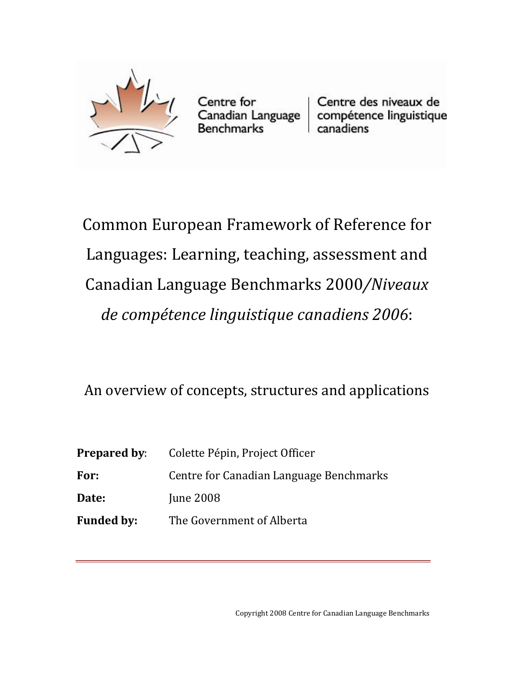

Centre for Centre des niveaux de<br>Canadian Language compétence linguistique<br>Benchmarks canadiens

Common European Framework of Reference for Languages: Learning, teaching, assessment and Canadian Language Benchmarks 2000*/Niveaux de compétence linguistique canadiens 2006*:

An overview of concepts, structures and applications

| Prepared by: | Colette Pépin, Project Officer          |
|--------------|-----------------------------------------|
| For:         | Centre for Canadian Language Benchmarks |
| <b>Date:</b> | <b>June 2008</b>                        |
| Funded by:   | The Government of Alberta               |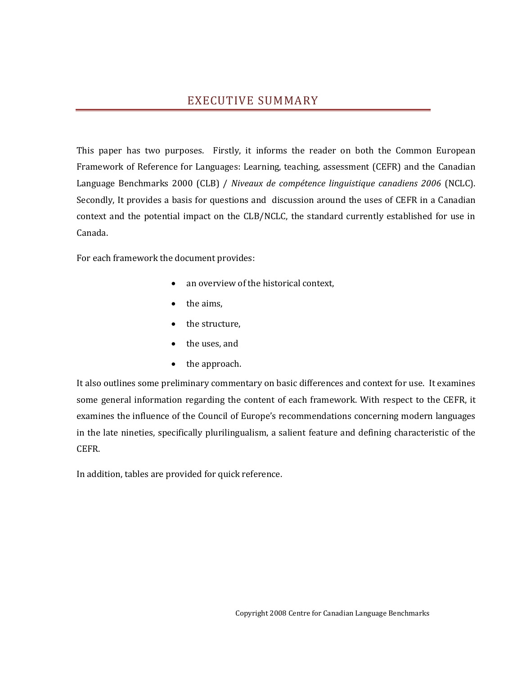## EXECUTIVE SUMMARY

<span id="page-1-0"></span>This paper has two purposes. Firstly, it informs the reader on both the Common European Framework of Reference for Languages: Learning, teaching, assessment (CEFR) and the Canadian Language Benchmarks 2000 (CLB) / *Niveaux de compétence linguistique canadiens 2006* (NCLC). Secondly, It provides a basis for questions and discussion around the uses of CEFR in a Canadian context and the potential impact on the CLB/NCLC, the standard currently established for use in Canada.

For each framework the document provides:

- an overview of the historical context,
- the aims,
- the structure,
- the uses, and
- the approach.

It also outlines some preliminary commentary on basic differences and context for use. It examines some general information regarding the content of each framework. With respect to the CEFR, it examines the influence of the Council of Europe's recommendations concerning modern languages in the late nineties, specifically plurilingualism, a salient feature and defining characteristic of the CEFR.

In addition, tables are provided for quick reference.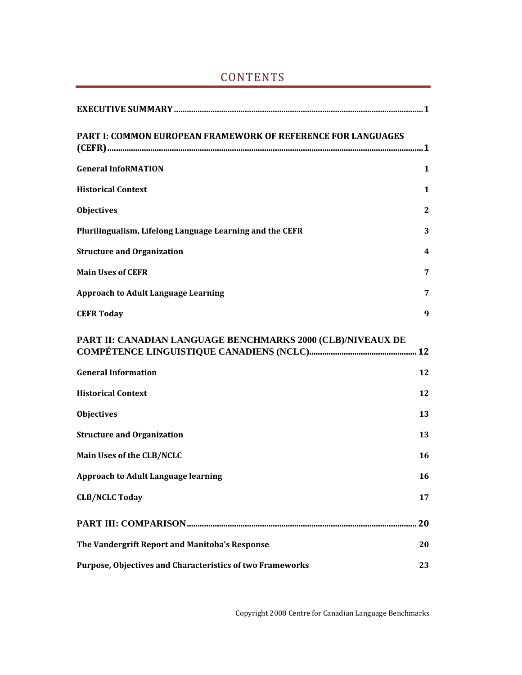| <b>PART I: COMMON EUROPEAN FRAMEWORK OF REFERENCE FOR LANGUAGES</b> |              |
|---------------------------------------------------------------------|--------------|
| <b>General InfoRMATION</b>                                          | 1            |
| <b>Historical Context</b>                                           | 1            |
| <b>Objectives</b>                                                   | $\mathbf{2}$ |
| Plurilingualism, Lifelong Language Learning and the CEFR            | 3            |
| <b>Structure and Organization</b>                                   | 4            |
| <b>Main Uses of CEFR</b>                                            | 7            |
| <b>Approach to Adult Language Learning</b>                          | 7            |
| <b>CEFR Today</b>                                                   | 9            |
| PART II: CANADIAN LANGUAGE BENCHMARKS 2000 (CLB)/NIVEAUX DE         |              |
| <b>General Information</b>                                          | 12           |
| <b>Historical Context</b>                                           | 12           |
| <b>Objectives</b>                                                   | 13           |
| <b>Structure and Organization</b>                                   | 13           |
| Main Uses of the CLB/NCLC                                           | 16           |
| <b>Approach to Adult Language learning</b>                          | 16           |
| <b>CLB/NCLC Today</b>                                               | 17           |
|                                                                     | . 20         |
| The Vandergrift Report and Manitoba's Response                      | 20           |
| Purpose, Objectives and Characteristics of two Frameworks           | 23           |

# CONTENTS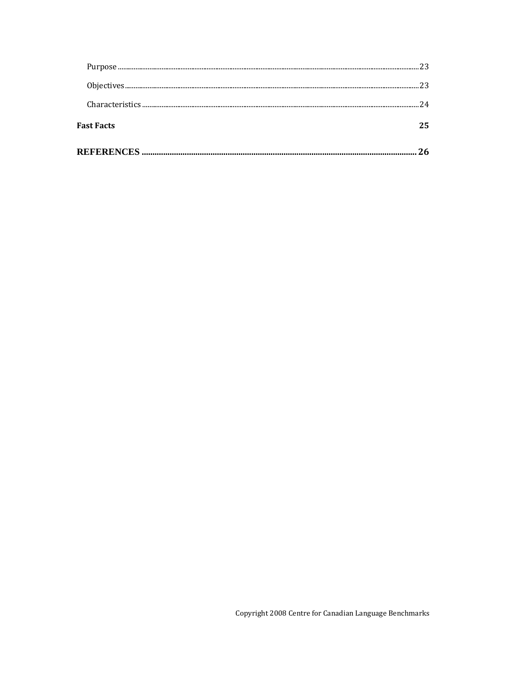|                   | 26 |
|-------------------|----|
| <b>Fast Facts</b> |    |
|                   | 24 |
|                   |    |
|                   |    |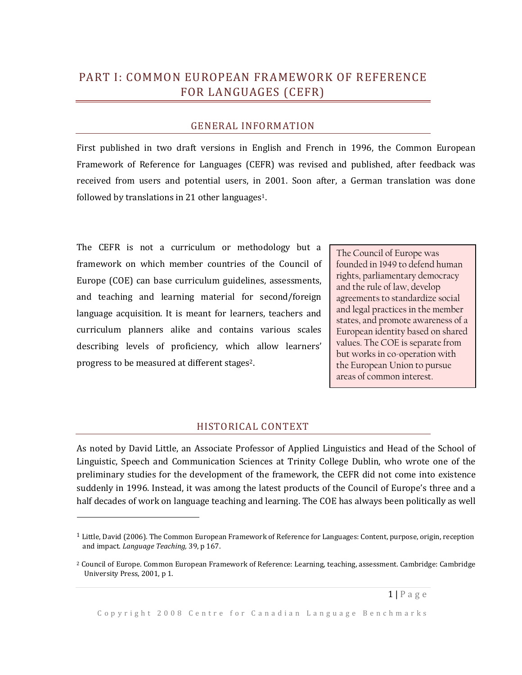# <span id="page-4-0"></span>PART I: COMMON EUROPEAN FRAMEWORK OF REFERENCE FOR LANGUAGES (CEFR)

#### GENERAL INFORMATION

<span id="page-4-1"></span>First published in two draft versions in English and French in 1996, the Common European Framework of Reference for Languages (CEFR) was revised and published, after feedback was received from users and potential users, in 2001. Soon after, a German translation was done followed by translations in 21 other languages1.

The CEFR is not a curriculum or methodology but a framework on which member countries of the Council of Europe (COE) can base curriculum guidelines, assessments, and teaching and learning material for second/foreign language acquisition. It is meant for learners, teachers and curriculum planners alike and contains various scales describing levels of proficiency, which allow learners' progress to be measured at different stages2.

l

The Council of Europe was founded in 1949 to defend human rights, parliamentary democracy and the rule of law, develop agreements to standardize social and legal practices in the member states, and promote awareness of a European identity based on shared values. The COE is separate from but works in co-operation with the European Union to pursue areas of common interest.

#### HISTORICAL CONTEXT

<span id="page-4-2"></span>As noted by David Little, an Associate Professor of Applied Linguistics and Head of the School of Linguistic, Speech and Communication Sciences at Trinity College Dublin, who wrote one of the preliminary studies for the development of the framework, the CEFR did not come into existence suddenly in 1996. Instead, it was among the latest products of the Council of Europe's three and a half decades of work on language teaching and learning. The COE has always been politically as well

<sup>1</sup> Little, David (2006). The Common European Framework of Reference for Languages: Content, purpose, origin, reception and impact. *Language Teaching,* 39, p 167.

<sup>2</sup> Council of Europe. Common European Framework of Reference: Learning, teaching, assessment. Cambridge: Cambridge University Press, 2001, p 1.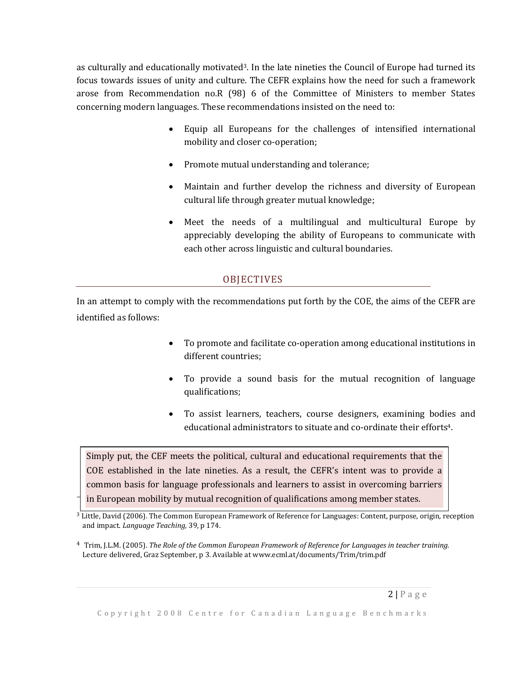as culturally and educationally motivated<sup>3</sup>. In the late nineties the Council of Europe had turned its focus towards issues of unity and culture. The CEFR explains how the need for such a framework arose from Recommendation no.R (98) 6 of the Committee of Ministers to member States concerning modern languages. These recommendations insisted on the need to:

- Equip all Europeans for the challenges of intensified international mobility and closer co-operation;
- Promote mutual understanding and tolerance;
- Maintain and further develop the richness and diversity of European cultural life through greater mutual knowledge;
- Meet the needs of a multilingual and multicultural Europe by appreciably developing the ability of Europeans to communicate with each other across linguistic and cultural boundaries.

## **OBJECTIVES**

<span id="page-5-0"></span>In an attempt to comply with the recommendations put forth by the COE, the aims of the CEFR are identified as follows:

- To promote and facilitate co-operation among educational institutions in different countries;
- To provide a sound basis for the mutual recognition of language qualifications;
- To assist learners, teachers, course designers, examining bodies and educational administrators to situate and co-ordinate their efforts4.

Simply put, the CEF meets the political, cultural and educational requirements that the COE established in the late nineties. As a result, the CEFR's intent was to provide a common basis for language professionals and learners to assist in overcoming barriers in European mobility by mutual recognition of qualifications among member states.

 $3$  Little, David (2006). The Common European Framework of Reference for Languages: Content, purpose, origin, reception and impact. *Language Teaching,* 39, p 174.

<sup>4</sup> Trim, J.L.M. (2005). *The Role of the Common European Framework of Reference for Languages in teacher training.* Lecture delivered, Graz September, p 3. Available at www.ecml.at/documents/Trim/trim.pdf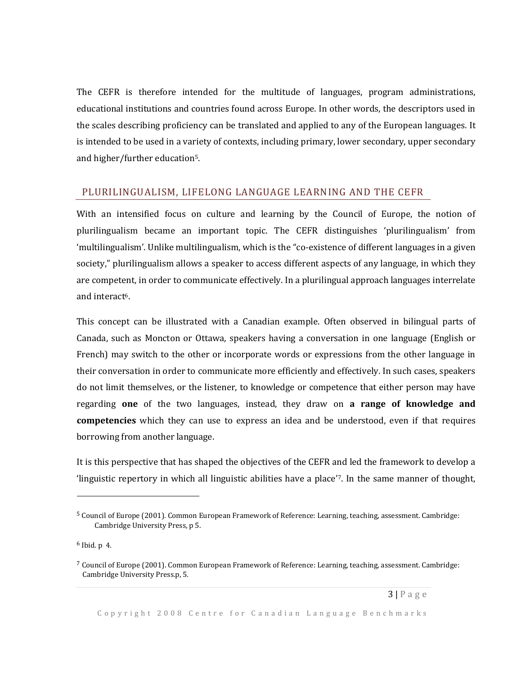The CEFR is therefore intended for the multitude of languages, program administrations, educational institutions and countries found across Europe. In other words, the descriptors used in the scales describing proficiency can be translated and applied to any of the European languages. It is intended to be used in a variety of contexts, including primary, lower secondary, upper secondary and higher/further education5.

### <span id="page-6-0"></span>PLURILINGUALISM, LIFELONG LANGUAGE LEARNING AND THE CEFR

With an intensified focus on culture and learning by the Council of Europe, the notion of plurilingualism became an important topic. The CEFR distinguishes 'plurilingualism' from 'multilingualism'. Unlike multilingualism, which is the "co-existence of different languages in a given society," plurilingualism allows a speaker to access different aspects of any language, in which they are competent, in order to communicate effectively. In a plurilingual approach languages interrelate and interact<sup>6</sup>.

This concept can be illustrated with a Canadian example. Often observed in bilingual parts of Canada, such as Moncton or Ottawa, speakers having a conversation in one language (English or French) may switch to the other or incorporate words or expressions from the other language in their conversation in order to communicate more efficiently and effectively. In such cases, speakers do not limit themselves, or the listener, to knowledge or competence that either person may have regarding **one** of the two languages, instead, they draw on **a range of knowledge and competencies** which they can use to express an idea and be understood, even if that requires borrowing from another language.

It is this perspective that has shaped the objectives of the CEFR and led the framework to develop a 'linguistic repertory in which all linguistic abilities have a place'7. In the same manner of thought,

6 Ibid. p 4.

l

<sup>5</sup> Council of Europe (2001). Common European Framework of Reference: Learning, teaching, assessment. Cambridge: Cambridge University Press, p 5.

 $7$  Council of Europe (2001). Common European Framework of Reference: Learning, teaching, assessment. Cambridge: Cambridge University Press.p, 5.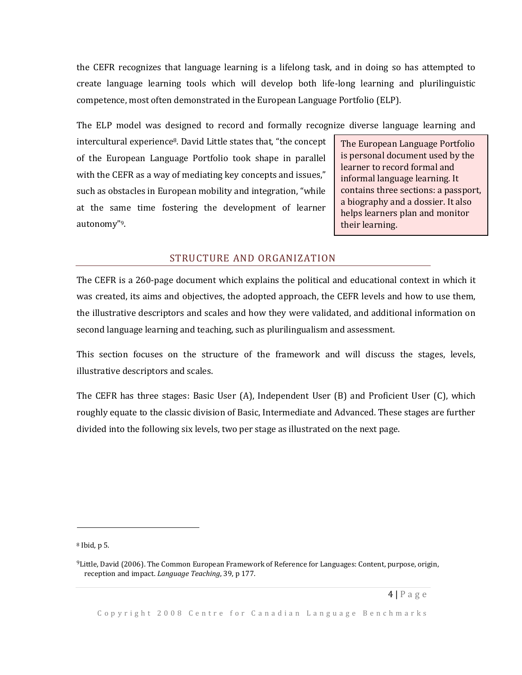the CEFR recognizes that language learning is a lifelong task, and in doing so has attempted to create language learning tools which will develop both life-long learning and plurilinguistic competence, most often demonstrated in the European Language Portfolio (ELP).

The ELP model was designed to record and formally recognize diverse language learning and

intercultural experience<sup>8</sup>. David Little states that, "the concept of the European Language Portfolio took shape in parallel with the CEFR as a way of mediating key concepts and issues," such as obstacles in European mobility and integration, "while at the same time fostering the development of learner autonomy"9.

The European Language Portfolio is personal document used by the learner to record formal and informal language learning. It contains three sections: a passport, a biography and a dossier. It also helps learners plan and monitor their learning.

#### STRUCTURE AND ORGANIZATION

<span id="page-7-0"></span>The CEFR is a 260-page document which explains the political and educational context in which it was created, its aims and objectives, the adopted approach, the CEFR levels and how to use them, the illustrative descriptors and scales and how they were validated, and additional information on second language learning and teaching, such as plurilingualism and assessment.

This section focuses on the structure of the framework and will discuss the stages, levels, illustrative descriptors and scales.

The CEFR has three stages: Basic User (A), Independent User (B) and Proficient User (C), which roughly equate to the classic division of Basic, Intermediate and Advanced. These stages are further divided into the following six levels, two per stage as illustrated on the next page.

<sup>8</sup> Ibid, p 5.

<sup>9</sup>Little, David (2006). The Common European Framework of Reference for Languages: Content, purpose, origin, reception and impact. *Language Teaching*, 39, p 177.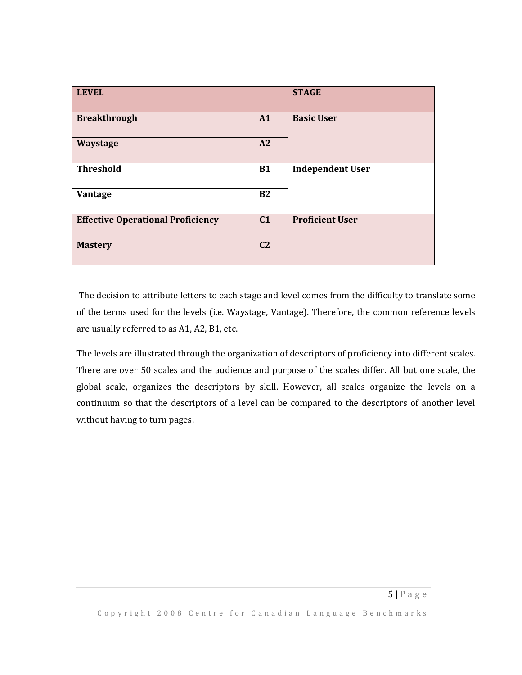| <b>LEVEL</b>                             |                | <b>STAGE</b>            |
|------------------------------------------|----------------|-------------------------|
| <b>Breakthrough</b>                      | A1             | <b>Basic User</b>       |
| Waystage                                 | A2             |                         |
| <b>Threshold</b>                         | <b>B1</b>      | <b>Independent User</b> |
| Vantage                                  | <b>B2</b>      |                         |
| <b>Effective Operational Proficiency</b> | C <sub>1</sub> | <b>Proficient User</b>  |
| <b>Mastery</b>                           | C <sub>2</sub> |                         |

The decision to attribute letters to each stage and level comes from the difficulty to translate some of the terms used for the levels (i.e. Waystage, Vantage). Therefore, the common reference levels are usually referred to as A1, A2, B1, etc.

The levels are illustrated through the organization of descriptors of proficiency into different scales. There are over 50 scales and the audience and purpose of the scales differ. All but one scale, the global scale, organizes the descriptors by skill. However, all scales organize the levels on a continuum so that the descriptors of a level can be compared to the descriptors of another level without having to turn pages.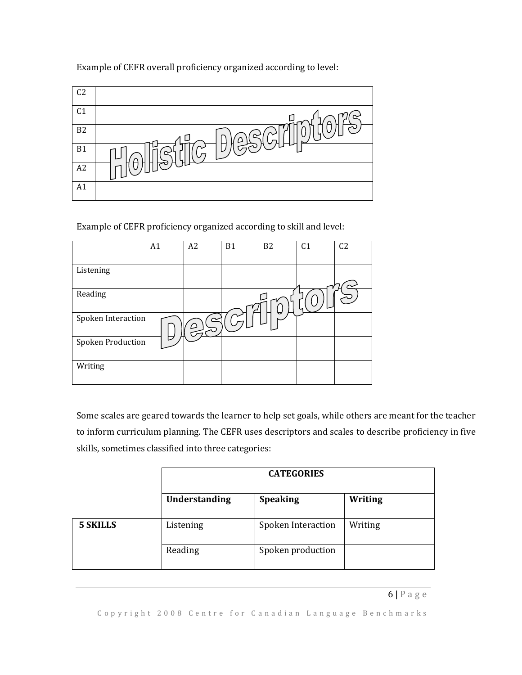| C <sub>2</sub> |                                                                  |
|----------------|------------------------------------------------------------------|
| C <sub>1</sub> |                                                                  |
| B <sub>2</sub> | լ ը                                                              |
| B <sub>1</sub> | D,<br>$\overline{\mathcal{L}}$ $\mathcal{L}_{\mathsf{A}}$<br>ਮਸਾ |
| A2             |                                                                  |
| A1             |                                                                  |

Example of CEFR overall proficiency organized according to level:

Example of CEFR proficiency organized according to skill and level:

|                          | A1 | A2 | <b>B1</b> | B <sub>2</sub> | C <sub>1</sub> | C <sub>2</sub> |
|--------------------------|----|----|-----------|----------------|----------------|----------------|
| Listening                |    |    |           |                |                |                |
| Reading                  |    |    |           |                |                |                |
| Spoken Interaction       |    |    |           | ৺              |                |                |
| <b>Spoken Production</b> |    |    |           |                |                |                |
| Writing                  |    |    |           |                |                |                |

Some scales are geared towards the learner to help set goals, while others are meant for the teacher to inform curriculum planning. The CEFR uses descriptors and scales to describe proficiency in five skills, sometimes classified into three categories:

|                 | <b>CATEGORIES</b> |                    |         |
|-----------------|-------------------|--------------------|---------|
|                 | Understanding     | <b>Speaking</b>    | Writing |
| <b>5 SKILLS</b> | Listening         | Spoken Interaction | Writing |
|                 | Reading           | Spoken production  |         |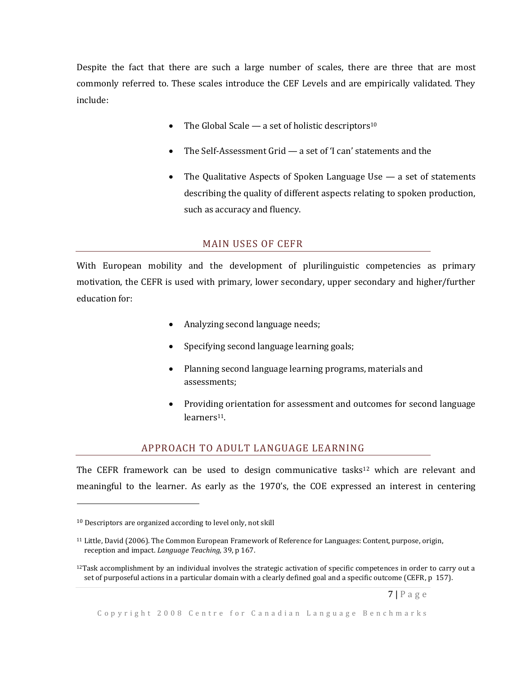Despite the fact that there are such a large number of scales, there are three that are most commonly referred to. These scales introduce the CEF Levels and are empirically validated. They include:

- The Global Scale a set of holistic descriptors<sup>10</sup>
- The Self-Assessment Grid a set of 'I can' statements and the
- The Qualitative Aspects of Spoken Language Use a set of statements describing the quality of different aspects relating to spoken production, such as accuracy and fluency.

#### MAIN USES OF CEFR

<span id="page-10-0"></span>With European mobility and the development of plurilinguistic competencies as primary motivation, the CEFR is used with primary, lower secondary, upper secondary and higher/further education for:

- Analyzing second language needs;
- Specifying second language learning goals;
- Planning second language learning programs, materials and assessments;
- Providing orientation for assessment and outcomes for second language learners<sup>11</sup>.

#### APPROACH TO ADULT LANGUAGE LEARNING

<span id="page-10-1"></span>The CEFR framework can be used to design communicative tasks $12$  which are relevant and meaningful to the learner. As early as the 1970's, the COE expressed an interest in centering

<sup>10</sup> Descriptors are organized according to level only, not skill

<sup>11</sup> Little, David (2006). The Common European Framework of Reference for Languages: Content, purpose, origin, reception and impact. *Language Teaching,* 39, p 167.

 $12$ Task accomplishment by an individual involves the strategic activation of specific competences in order to carry out a set of purposeful actions in a particular domain with a clearly defined goal and a specific outcome (CEFR, p 157).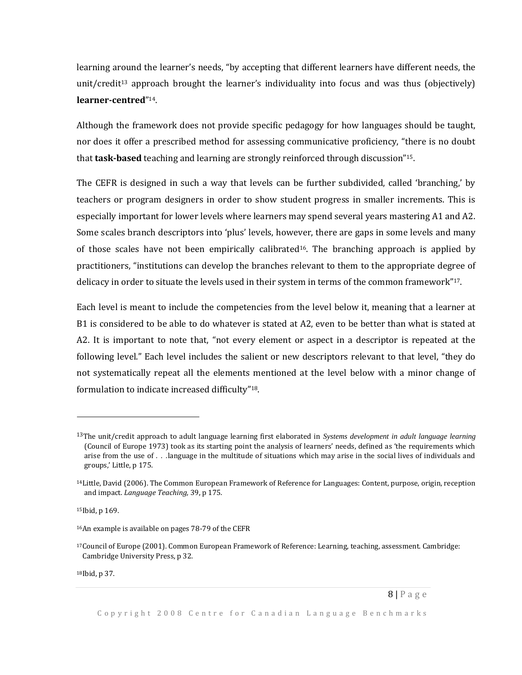learning around the learner's needs, "by accepting that different learners have different needs, the unit/credit<sup>13</sup> approach brought the learner's individuality into focus and was thus (objectively) **learner-centred**" 14.

Although the framework does not provide specific pedagogy for how languages should be taught, nor does it offer a prescribed method for assessing communicative proficiency, "there is no doubt that **task-based** teaching and learning are strongly reinforced through discussion" 15.

The CEFR is designed in such a way that levels can be further subdivided, called 'branching,' by teachers or program designers in order to show student progress in smaller increments. This is especially important for lower levels where learners may spend several years mastering A1 and A2. Some scales branch descriptors into 'plus' levels, however, there are gaps in some levels and many of those scales have not been empirically calibrated16. The branching approach is applied by practitioners, "institutions can develop the branches relevant to them to the appropriate degree of delicacy in order to situate the levels used in their system in terms of the common framework"17.

Each level is meant to include the competencies from the level below it, meaning that a learner at B1 is considered to be able to do whatever is stated at A2, even to be better than what is stated at A2. It is important to note that, "not every element or aspect in a descriptor is repeated at the following level." Each level includes the salient or new descriptors relevant to that level, "they do not systematically repeat all the elements mentioned at the level below with a minor change of formulation to indicate increased difficulty"18.

 $\overline{\phantom{0}}$ 

18Ibid, p 37.

<sup>13</sup>The unit/credit approach to adult language learning first elaborated in *Systems development in adult language learning*  (Council of Europe 1973) took as its starting point the analysis of learners' needs, defined as 'the requirements which arise from the use of *. . .*language in the multitude of situations which may arise in the social lives of individuals and groups,' Little, p 175.

<sup>14</sup>Little, David (2006). The Common European Framework of Reference for Languages: Content, purpose, origin, reception and impact. *Language Teaching,* 39, p 175.

<sup>15</sup>Ibid, p 169.

<sup>16</sup>An example is available on pages 78-79 of the CEFR

<sup>17</sup>Council of Europe (2001). Common European Framework of Reference: Learning, teaching, assessment. Cambridge: Cambridge University Press, p 32.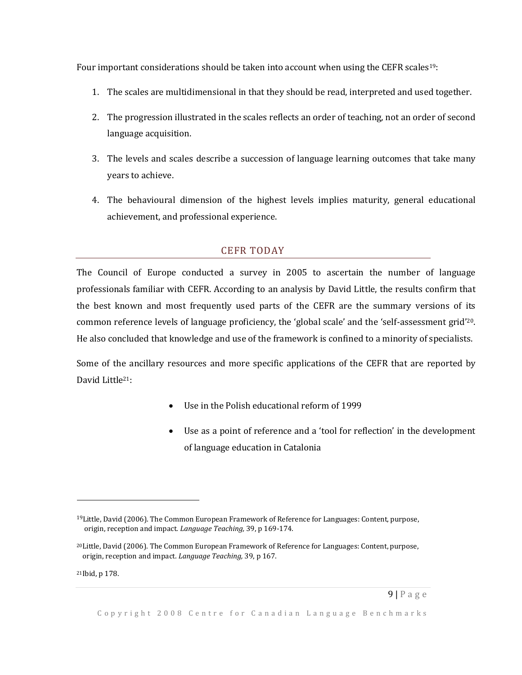Four important considerations should be taken into account when using the CEFR scales<sup>19</sup>:

- 1. The scales are multidimensional in that they should be read, interpreted and used together.
- 2. The progression illustrated in the scales reflects an order of teaching, not an order of second language acquisition.
- 3. The levels and scales describe a succession of language learning outcomes that take many years to achieve.
- 4. The behavioural dimension of the highest levels implies maturity, general educational achievement, and professional experience.

## CEFR TODAY

<span id="page-12-0"></span>The Council of Europe conducted a survey in 2005 to ascertain the number of language professionals familiar with CEFR. According to an analysis by David Little, the results confirm that the best known and most frequently used parts of the CEFR are the summary versions of its common reference levels of language proficiency, the 'global scale' and the 'self-assessment grid'20. He also concluded that knowledge and use of the framework is confined to a minority of specialists.

Some of the ancillary resources and more specific applications of the CEFR that are reported by David Little21:

- Use in the Polish educational reform of 1999
- Use as a point of reference and a 'tool for reflection' in the development of language education in Catalonia

21Ibid, p 178.

 $19$ Little, David (2006). The Common European Framework of Reference for Languages: Content, purpose, origin, reception and impact. *Language Teaching,* 39, p 169-174.

 $20$ Little, David (2006). The Common European Framework of Reference for Languages: Content, purpose, origin, reception and impact. *Language Teaching,* 39, p 167.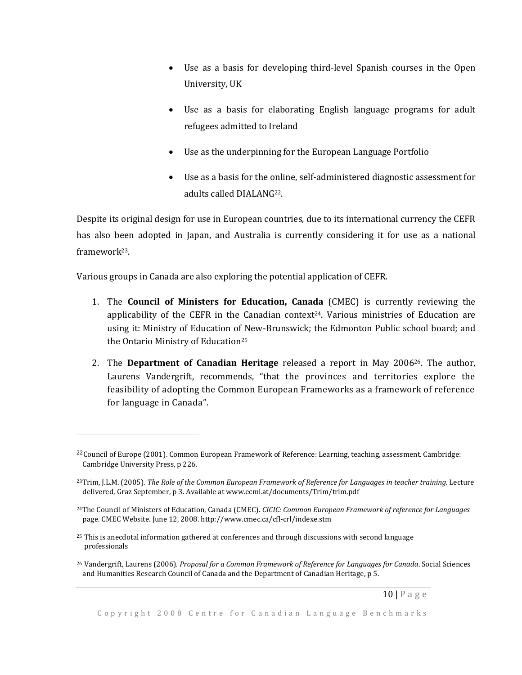- Use as a basis for developing third-level Spanish courses in the Open University, UK
- Use as a basis for elaborating English language programs for adult refugees admitted to Ireland
- Use as the underpinning for the European Language Portfolio
- Use as a basis for the online, self-administered diagnostic assessment for adults called DIALANG22.

Despite its original design for use in European countries, due to its international currency the CEFR has also been adopted in Japan, and Australia is currently considering it for use as a national framework23.

Various groups in Canada are also exploring the potential application of CEFR.

- 1. The **Council of Ministers for Education, Canada** (CMEC) is currently reviewing the applicability of the CEFR in the Canadian context $24$ . Various ministries of Education are using it: Ministry of Education of New-Brunswick; the Edmonton Public school board; and the Ontario Ministry of Education<sup>25</sup>
- 2. The **Department of Canadian Heritage** released a report in May 200626. The author, Laurens Vandergrift, recommends, "that the provinces and territories explore the feasibility of adopting the Common European Frameworks as a framework of reference for language in Canada".

<sup>&</sup>lt;sup>22</sup>Council of Europe (2001). Common European Framework of Reference: Learning, teaching, assessment. Cambridge: Cambridge University Press, p 226.

<sup>23</sup>Trim, J.L.M. (2005). *The Role of the Common European Framework of Reference for Languages in teacher training.* Lecture delivered, Graz September, p 3. Available at www.ecml.at/documents/Trim/trim.pdf

<sup>24</sup>The Council of Ministers of Education, Canada (CMEC). *CICIC: Common European Framework of reference for Languages*  page. CMEC Website. June 12, 2008. http://www.cmec.ca/cfl-crl/indexe.stm

<sup>25</sup> This is anecdotal information gathered at conferences and through discussions with second language professionals

<sup>26</sup> Vandergrift, Laurens (2006). *Proposal for a Common Framework of Reference for Languages for Canada*. Social Sciences and Humanities Research Council of Canada and the Department of Canadian Heritage, p 5.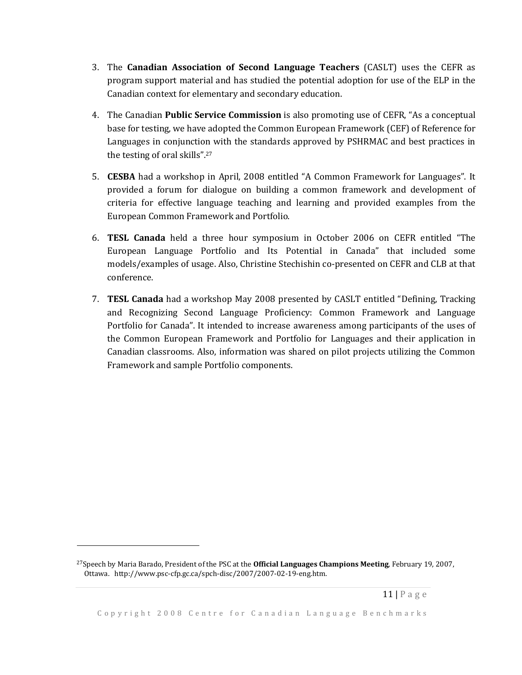- 3. The **Canadian Association of Second Language Teachers** (CASLT) uses the CEFR as program support material and has studied the potential adoption for use of the ELP in the Canadian context for elementary and secondary education.
- 4. The Canadian **Public Service Commission** is also promoting use of CEFR, "As a conceptual base for testing, we have adopted the Common European Framework (CEF) of Reference for Languages in conjunction with the standards approved by PSHRMAC and best practices in the testing of oral skills". 27
- 5. **CESBA** had a workshop in April, 2008 entitled "A Common Framework for Languages". It provided a forum for dialogue on building a common framework and development of criteria for effective language teaching and learning and provided examples from the European Common Framework and Portfolio.
- 6. **TESL Canada** held a three hour symposium in October 2006 on CEFR entitled "The European Language Portfolio and Its Potential in Canada" that included some models/examples of usage. Also, Christine Stechishin co-presented on CEFR and CLB at that conference.
- 7. **TESL Canada** had a workshop May 2008 presented by CASLT entitled "Defining, Tracking and Recognizing Second Language Proficiency: Common Framework and Language Portfolio for Canada". It intended to increase awareness among participants of the uses of the Common European Framework and Portfolio for Languages and their application in Canadian classrooms. Also, information was shared on pilot projects utilizing the Common Framework and sample Portfolio components.

l

<sup>27</sup>Speech by Maria Barado, President of the PSC at the **Official Languages Champions Meeting**, February 19, 2007, Ottawa. http://www.psc-cfp.gc.ca/spch-disc/2007/2007-02-19-eng.htm.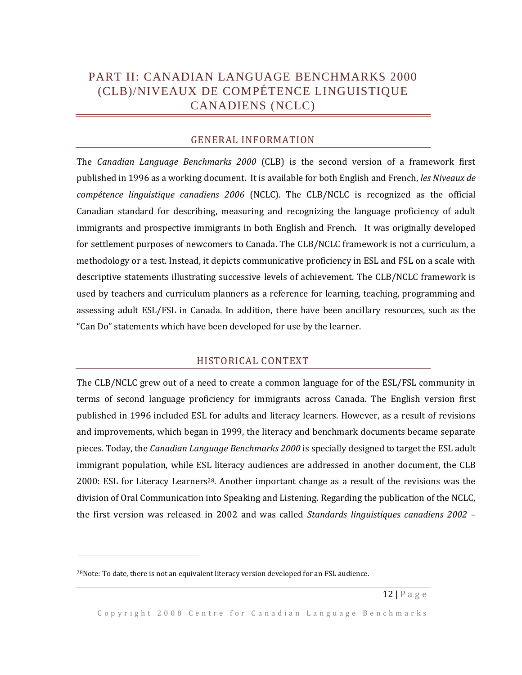# <span id="page-15-0"></span>PART II: CANADIAN LANGUAGE BENCHMARKS 2000 (CLB)/NIVEAUX DE COMPÉTENCE LINGUISTIQUE CANADIENS (NCLC)

#### GENERAL INFORMATION

<span id="page-15-1"></span>The *Canadian Language Benchmarks 2000* (CLB) is the second version of a framework first published in 1996 as a working document. It is available for both English and French, *les Niveaux de compétence linguistique canadiens 2006* (NCLC). The CLB/NCLC is recognized as the official Canadian standard for describing, measuring and recognizing the language proficiency of adult immigrants and prospective immigrants in both English and French. It was originally developed for settlement purposes of newcomers to Canada. The CLB/NCLC framework is not a curriculum, a methodology or a test. Instead, it depicts communicative proficiency in ESL and FSL on a scale with descriptive statements illustrating successive levels of achievement. The CLB/NCLC framework is used by teachers and curriculum planners as a reference for learning, teaching, programming and assessing adult ESL/FSL in Canada. In addition, there have been ancillary resources, such as the "Can Do" statements which have been developed for use by the learner.

#### HISTORICAL CONTEXT

<span id="page-15-2"></span>The CLB/NCLC grew out of a need to create a common language for of the ESL/FSL community in terms of second language proficiency for immigrants across Canada. The English version first published in 1996 included ESL for adults and literacy learners. However, as a result of revisions and improvements, which began in 1999, the literacy and benchmark documents became separate pieces. Today, the *Canadian Language Benchmarks 2000* is specially designed to target the ESL adult immigrant population, while ESL literacy audiences are addressed in another document, the CLB 2000: ESL for Literacy Learners28. Another important change as a result of the revisions was the division of Oral Communication into Speaking and Listening. Regarding the publication of the NCLC, the first version was released in 2002 and was called *Standards linguistiques canadiens 2002 –*

 $\overline{a}$ 

 $^{28}$ Note: To date, there is not an equivalent literacy version developed for an FSL audience.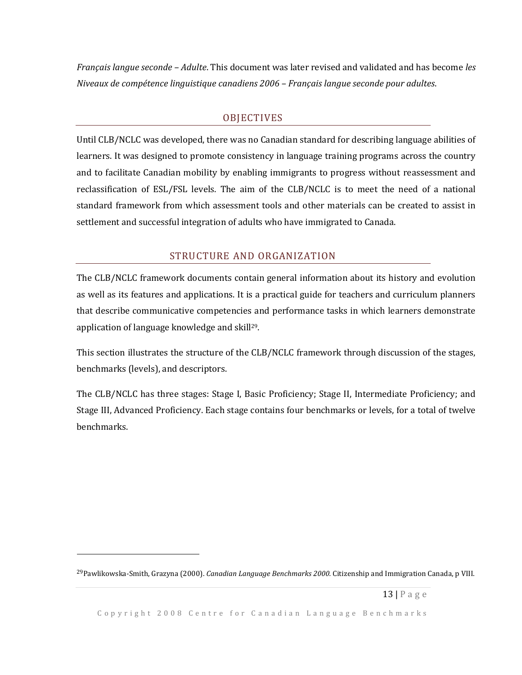*Français langue seconde – Adulte*. This document was later revised and validated and has become *les Niveaux de compétence linguistique canadiens 2006 – Français langue seconde pour adultes*.

#### **OBJECTIVES**

<span id="page-16-0"></span>Until CLB/NCLC was developed, there was no Canadian standard for describing language abilities of learners. It was designed to promote consistency in language training programs across the country and to facilitate Canadian mobility by enabling immigrants to progress without reassessment and reclassification of ESL/FSL levels. The aim of the CLB/NCLC is to meet the need of a national standard framework from which assessment tools and other materials can be created to assist in settlement and successful integration of adults who have immigrated to Canada.

#### STRUCTURE AND ORGANIZATION

<span id="page-16-1"></span>The CLB/NCLC framework documents contain general information about its history and evolution as well as its features and applications. It is a practical guide for teachers and curriculum planners that describe communicative competencies and performance tasks in which learners demonstrate application of language knowledge and skill<sup>29</sup>.

This section illustrates the structure of the CLB/NCLC framework through discussion of the stages, benchmarks (levels), and descriptors.

The CLB/NCLC has three stages: Stage I, Basic Proficiency; Stage II, Intermediate Proficiency; and Stage III, Advanced Proficiency. Each stage contains four benchmarks or levels, for a total of twelve benchmarks.

<sup>29</sup>Pawlikowska-Smith, Grazyna (2000). *Canadian Language Benchmarks 2000.* Citizenship and Immigration Canada, p VIII.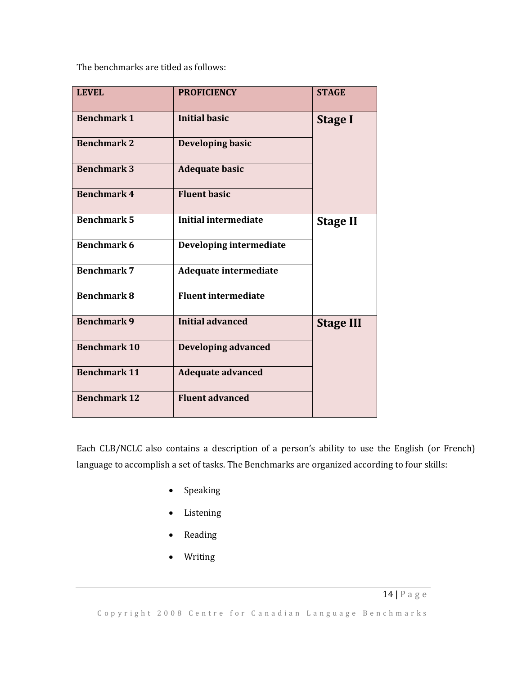The benchmarks are titled as follows:

| <b>LEVEL</b>        | <b>PROFICIENCY</b>          | <b>STAGE</b>     |
|---------------------|-----------------------------|------------------|
| <b>Benchmark 1</b>  | <b>Initial basic</b>        | <b>Stage I</b>   |
| <b>Benchmark 2</b>  | Developing basic            |                  |
| <b>Benchmark 3</b>  | <b>Adequate basic</b>       |                  |
| <b>Benchmark 4</b>  | <b>Fluent basic</b>         |                  |
| <b>Benchmark 5</b>  | <b>Initial intermediate</b> | <b>Stage II</b>  |
| <b>Benchmark 6</b>  | Developing intermediate     |                  |
| <b>Benchmark 7</b>  | Adequate intermediate       |                  |
| <b>Benchmark 8</b>  | <b>Fluent intermediate</b>  |                  |
| <b>Benchmark 9</b>  | <b>Initial advanced</b>     | <b>Stage III</b> |
| <b>Benchmark 10</b> | <b>Developing advanced</b>  |                  |
| <b>Benchmark 11</b> | <b>Adequate advanced</b>    |                  |
| <b>Benchmark 12</b> | <b>Fluent advanced</b>      |                  |

Each CLB/NCLC also contains a description of a person's ability to use the English (or French) language to accomplish a set of tasks. The Benchmarks are organized according to four skills:

- Speaking
- Listening
- Reading
- Writing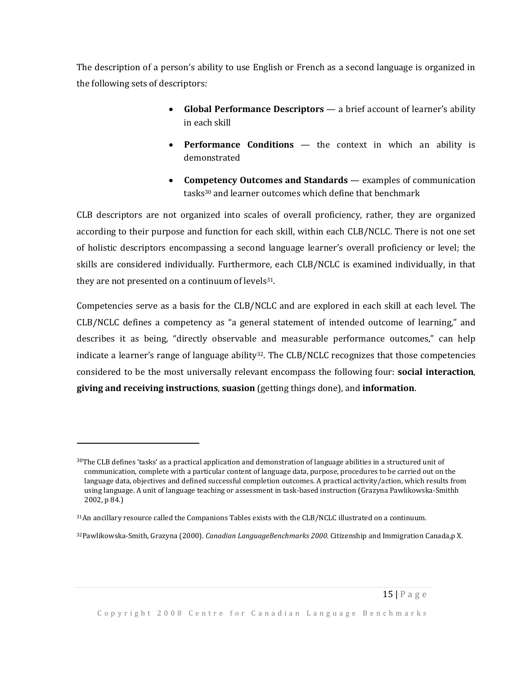The description of a person's ability to use English or French as a second language is organized in the following sets of descriptors:

- **Global Performance Descriptors** a brief account of learner's ability in each skill
- **Performance Conditions** the context in which an ability is demonstrated
- **Competency Outcomes and Standards** examples of communication tasks<sup>30</sup> and learner outcomes which define that benchmark

CLB descriptors are not organized into scales of overall proficiency, rather, they are organized according to their purpose and function for each skill, within each CLB/NCLC. There is not one set of holistic descriptors encompassing a second language learner's overall proficiency or level; the skills are considered individually. Furthermore, each CLB/NCLC is examined individually, in that they are not presented on a continuum of levels<sup>31</sup>.

Competencies serve as a basis for the CLB/NCLC and are explored in each skill at each level. The CLB/NCLC defines a competency as "a general statement of intended outcome of learning," and describes it as being, "directly observable and measurable performance outcomes," can help indicate a learner's range of language ability<sup>32</sup>. The CLB/NCLC recognizes that those competencies considered to be the most universally relevant encompass the following four: **social interaction**, **giving and receiving instructions**, **suasion** (getting things done), and **information**.

l

 $30$ The CLB defines 'tasks' as a practical application and demonstration of language abilities in a structured unit of communication, complete with a particular content of language data, purpose, procedures to be carried out on the language data, objectives and defined successful completion outcomes. A practical activity/action, which results from using language. A unit of language teaching or assessment in task-based instruction (Grazyna Pawlikowska-Smithh 2002, p 84.)

<sup>31</sup>An ancillary resource called the Companions Tables exists with the CLB/NCLC illustrated on a continuum.

<sup>32</sup>Pawlikowska-Smith, Grazyna (2000). *Canadian LanguageBenchmarks 2000.* Citizenship and Immigration Canada,p X.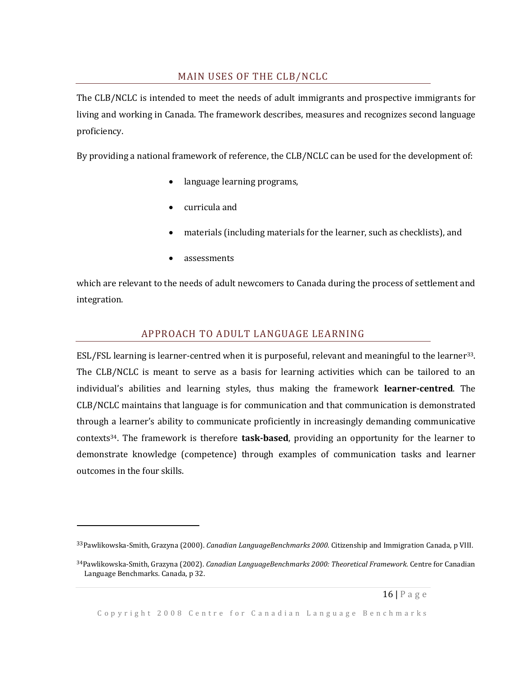### MAIN USES OF THE CLB/NCLC

<span id="page-19-0"></span>The CLB/NCLC is intended to meet the needs of adult immigrants and prospective immigrants for living and working in Canada. The framework describes, measures and recognizes second language proficiency.

By providing a national framework of reference, the CLB/NCLC can be used for the development of:

- language learning programs,
- curricula and
- materials (including materials for the learner, such as checklists), and
- assessments

 $\overline{\phantom{0}}$ 

which are relevant to the needs of adult newcomers to Canada during the process of settlement and integration.

### APPROACH TO ADULT LANGUAGE LEARNING

<span id="page-19-1"></span>ESL/FSL learning is learner-centred when it is purposeful, relevant and meaningful to the learner33. The CLB/NCLC is meant to serve as a basis for learning activities which can be tailored to an individual's abilities and learning styles, thus making the framework **learner-centred**. The CLB/NCLC maintains that language is for communication and that communication is demonstrated through a learner's ability to communicate proficiently in increasingly demanding communicative contexts34. The framework is therefore **task-based**, providing an opportunity for the learner to demonstrate knowledge (competence) through examples of communication tasks and learner outcomes in the four skills.

<sup>33</sup>Pawlikowska-Smith, Grazyna (2000). *Canadian LanguageBenchmarks 2000.* Citizenship and Immigration Canada, p VIII.

<sup>34</sup>Pawlikowska-Smith, Grazyna (2002). *Canadian LanguageBenchmarks 2000: Theoretical Framework.* Centre for Canadian Language Benchmarks*.* Canada, p 32.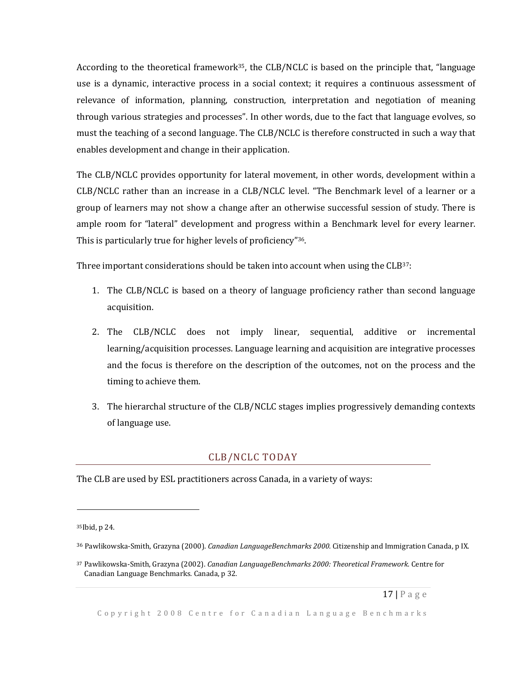According to the theoretical framework<sup>35</sup>, the CLB/NCLC is based on the principle that, "language use is a dynamic, interactive process in a social context; it requires a continuous assessment of relevance of information, planning, construction, interpretation and negotiation of meaning through various strategies and processes". In other words, due to the fact that language evolves, so must the teaching of a second language. The CLB/NCLC is therefore constructed in such a way that enables development and change in their application.

The CLB/NCLC provides opportunity for lateral movement, in other words, development within a CLB/NCLC rather than an increase in a CLB/NCLC level. "The Benchmark level of a learner or a group of learners may not show a change after an otherwise successful session of study. There is ample room for "lateral" development and progress within a Benchmark level for every learner. This is particularly true for higher levels of proficiency"36.

Three important considerations should be taken into account when using the CLB37:

- 1. The CLB/NCLC is based on a theory of language proficiency rather than second language acquisition.
- 2. The CLB/NCLC does not imply linear, sequential, additive or incremental learning/acquisition processes. Language learning and acquisition are integrative processes and the focus is therefore on the description of the outcomes, not on the process and the timing to achieve them.
- 3. The hierarchal structure of the CLB/NCLC stages implies progressively demanding contexts of language use.

#### CLB/NCLC TODAY

<span id="page-20-0"></span>The CLB are used by ESL practitioners across Canada, in a variety of ways:

<sup>35</sup>Ibid, p 24.

<sup>36</sup> Pawlikowska-Smith, Grazyna (2000). *Canadian LanguageBenchmarks 2000.* Citizenship and Immigration Canada, p IX.

<sup>37</sup> Pawlikowska-Smith, Grazyna (2002). *Canadian LanguageBenchmarks 2000: Theoretical Framework.* Centre for Canadian Language Benchmarks*.* Canada, p 32.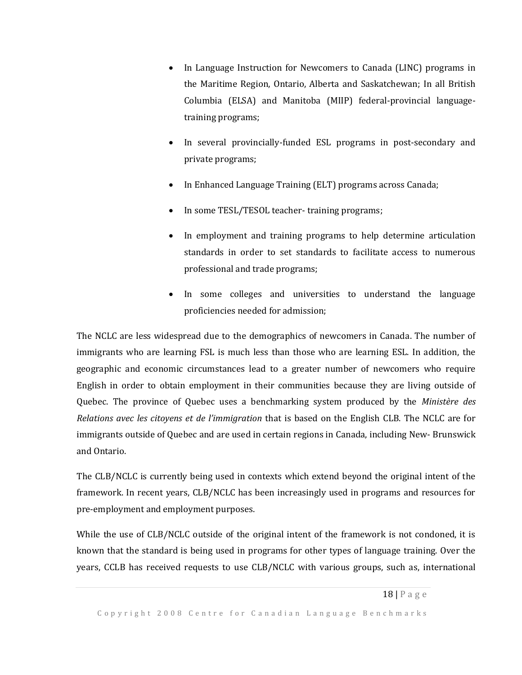- In Language Instruction for Newcomers to Canada (LINC) programs in the Maritime Region, Ontario, Alberta and Saskatchewan; In all British Columbia (ELSA) and Manitoba (MIIP) federal-provincial languagetraining programs;
- In several provincially-funded ESL programs in post-secondary and private programs;
- In Enhanced Language Training (ELT) programs across Canada;
- In some TESL/TESOL teacher-training programs;
- In employment and training programs to help determine articulation standards in order to set standards to facilitate access to numerous professional and trade programs;
- In some colleges and universities to understand the language proficiencies needed for admission;

The NCLC are less widespread due to the demographics of newcomers in Canada. The number of immigrants who are learning FSL is much less than those who are learning ESL. In addition, the geographic and economic circumstances lead to a greater number of newcomers who require English in order to obtain employment in their communities because they are living outside of Quebec. The province of Quebec uses a benchmarking system produced by the *Ministère des Relations avec les citoyens et de l'immigration* that is based on the English CLB. The NCLC are for immigrants outside of Quebec and are used in certain regions in Canada, including New- Brunswick and Ontario.

The CLB/NCLC is currently being used in contexts which extend beyond the original intent of the framework. In recent years, CLB/NCLC has been increasingly used in programs and resources for pre-employment and employment purposes.

While the use of CLB/NCLC outside of the original intent of the framework is not condoned, it is known that the standard is being used in programs for other types of language training. Over the years, CCLB has received requests to use CLB/NCLC with various groups, such as, international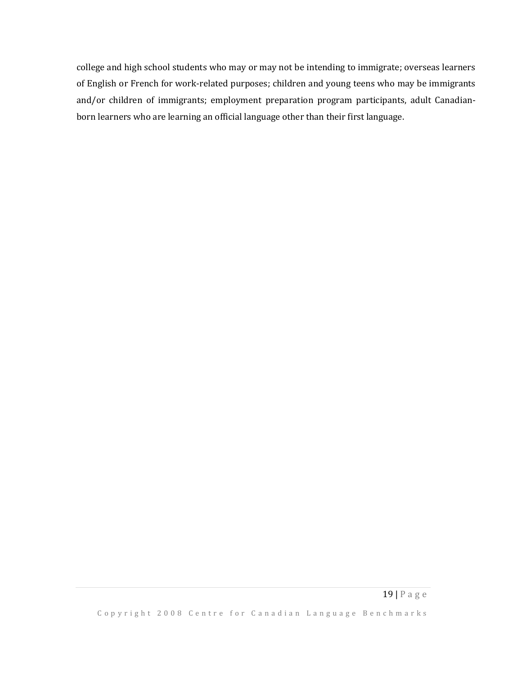college and high school students who may or may not be intending to immigrate; overseas learners of English or French for work-related purposes; children and young teens who may be immigrants and/or children of immigrants; employment preparation program participants, adult Canadianborn learners who are learning an official language other than their first language.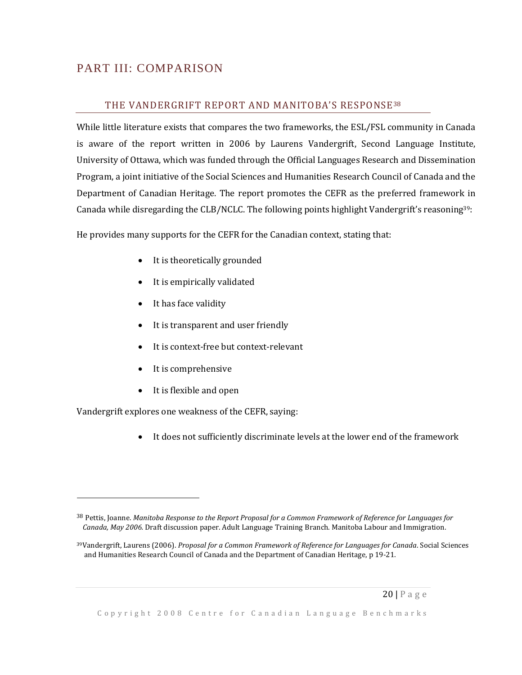# <span id="page-23-1"></span><span id="page-23-0"></span>PART III: COMPARISON

### THE VANDERGRIFT REPORT AND MANITOBA'S RESPONSE<sup>38</sup>

While little literature exists that compares the two frameworks, the ESL/FSL community in Canada is aware of the report written in 2006 by Laurens Vandergrift, Second Language Institute, University of Ottawa, which was funded through the Official Languages Research and Dissemination Program, a joint initiative of the Social Sciences and Humanities Research Council of Canada and the Department of Canadian Heritage. The report promotes the CEFR as the preferred framework in Canada while disregarding the CLB/NCLC. The following points highlight Vandergrift's reasoning39:

He provides many supports for the CEFR for the Canadian context, stating that:

- It is theoretically grounded
- It is empirically validated
- It has face validity
- It is transparent and user friendly
- It is context-free but context-relevant
- It is comprehensive
- It is flexible and open

Vandergrift explores one weakness of the CEFR, saying:

 $\overline{a}$ 

It does not sufficiently discriminate levels at the lower end of the framework

<sup>38</sup> Pettis, Joanne. *Manitoba Response to the Report Proposal for a Common Framework of Reference for Languages for Canada, May 2006.* Draft discussion paper. Adult Language Training Branch. Manitoba Labour and Immigration.

<sup>39</sup>Vandergrift, Laurens (2006). *Proposal for a Common Framework of Reference for Languages for Canada*. Social Sciences and Humanities Research Council of Canada and the Department of Canadian Heritage, p 19-21.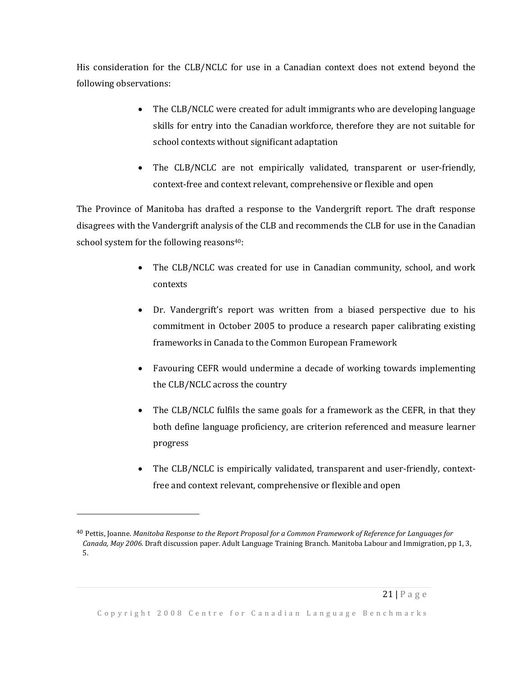His consideration for the CLB/NCLC for use in a Canadian context does not extend beyond the following observations:

- The CLB/NCLC were created for adult immigrants who are developing language skills for entry into the Canadian workforce, therefore they are not suitable for school contexts without significant adaptation
- The CLB/NCLC are not empirically validated, transparent or user-friendly, context-free and context relevant, comprehensive or flexible and open

The Province of Manitoba has drafted a response to the Vandergrift report. The draft response disagrees with the Vandergrift analysis of the CLB and recommends the CLB for use in the Canadian school system for the following reasons<sup>40</sup>:

- The CLB/NCLC was created for use in Canadian community, school, and work contexts
- Dr. Vandergrift's report was written from a biased perspective due to his commitment in October 2005 to produce a research paper calibrating existing frameworks in Canada to the Common European Framework
- Favouring CEFR would undermine a decade of working towards implementing the CLB/NCLC across the country
- The CLB/NCLC fulfils the same goals for a framework as the CEFR, in that they both define language proficiency, are criterion referenced and measure learner progress
- The CLB/NCLC is empirically validated, transparent and user-friendly, contextfree and context relevant, comprehensive or flexible and open

 $\overline{a}$ 

<sup>40</sup> Pettis, Joanne. *Manitoba Response to the Report Proposal for a Common Framework of Reference for Languages for Canada, May 2006.* Draft discussion paper. Adult Language Training Branch. Manitoba Labour and Immigration, pp 1, 3, 5.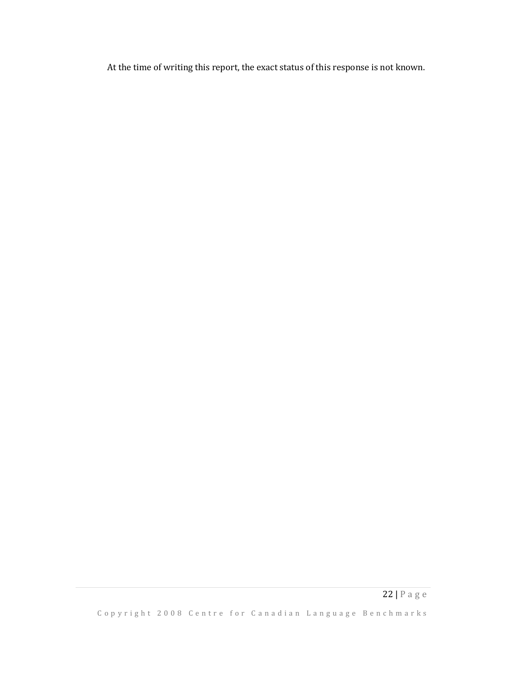At the time of writing this report, the exact status of this response is not known.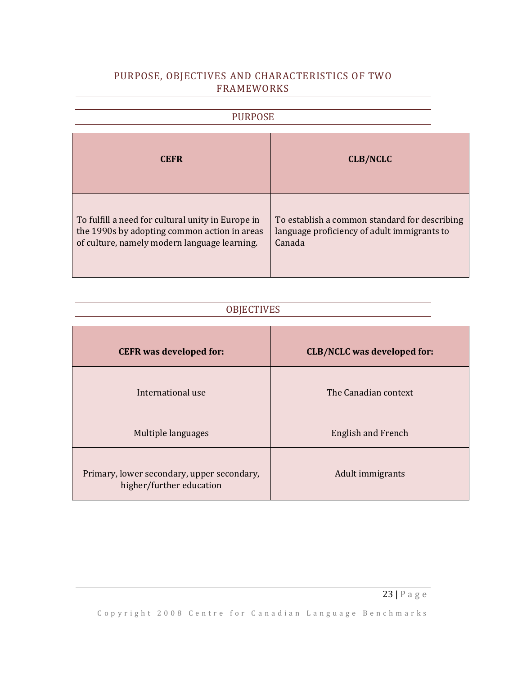## <span id="page-26-0"></span>PURPOSE, OBJECTIVES AND CHARACTERISTICS OF TWO FRAMEWORKS

<span id="page-26-1"></span>

| <b>PURPOSE</b>                                                                                                                                    |                                                                                                        |  |  |
|---------------------------------------------------------------------------------------------------------------------------------------------------|--------------------------------------------------------------------------------------------------------|--|--|
| <b>CEFR</b>                                                                                                                                       | <b>CLB/NCLC</b>                                                                                        |  |  |
| To fulfill a need for cultural unity in Europe in<br>the 1990s by adopting common action in areas<br>of culture, namely modern language learning. | To establish a common standard for describing<br>language proficiency of adult immigrants to<br>Canada |  |  |

# OBJECTIVES

<span id="page-26-2"></span>

| <b>CEFR</b> was developed for:                                         | <b>CLB/NCLC</b> was developed for: |
|------------------------------------------------------------------------|------------------------------------|
| International use                                                      | The Canadian context               |
| Multiple languages                                                     | <b>English and French</b>          |
| Primary, lower secondary, upper secondary,<br>higher/further education | Adult immigrants                   |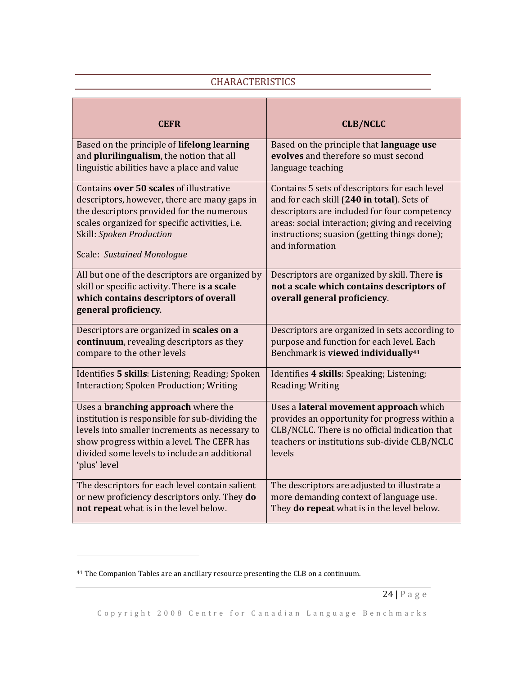## **CHARACTERISTICS**

<span id="page-27-0"></span>

| <b>CEFR</b>                                                                                                                                                                                                                                                   | <b>CLB/NCLC</b>                                                                                                                                                                                     |
|---------------------------------------------------------------------------------------------------------------------------------------------------------------------------------------------------------------------------------------------------------------|-----------------------------------------------------------------------------------------------------------------------------------------------------------------------------------------------------|
| Based on the principle of lifelong learning                                                                                                                                                                                                                   | Based on the principle that language use                                                                                                                                                            |
| and plurilingualism, the notion that all                                                                                                                                                                                                                      | evolves and therefore so must second                                                                                                                                                                |
| linguistic abilities have a place and value                                                                                                                                                                                                                   | language teaching                                                                                                                                                                                   |
| Contains over 50 scales of illustrative                                                                                                                                                                                                                       | Contains 5 sets of descriptors for each level                                                                                                                                                       |
| descriptors, however, there are many gaps in                                                                                                                                                                                                                  | and for each skill (240 in total). Sets of                                                                                                                                                          |
| the descriptors provided for the numerous                                                                                                                                                                                                                     | descriptors are included for four competency                                                                                                                                                        |
| scales organized for specific activities, i.e.                                                                                                                                                                                                                | areas: social interaction; giving and receiving                                                                                                                                                     |
| Skill: Spoken Production                                                                                                                                                                                                                                      | instructions; suasion (getting things done);                                                                                                                                                        |
| Scale: Sustained Monologue                                                                                                                                                                                                                                    | and information                                                                                                                                                                                     |
| All but one of the descriptors are organized by<br>skill or specific activity. There is a scale<br>which contains descriptors of overall<br>general proficiency.                                                                                              | Descriptors are organized by skill. There is<br>not a scale which contains descriptors of<br>overall general proficiency.                                                                           |
| Descriptors are organized in scales on a                                                                                                                                                                                                                      | Descriptors are organized in sets according to                                                                                                                                                      |
| continuum, revealing descriptors as they                                                                                                                                                                                                                      | purpose and function for each level. Each                                                                                                                                                           |
| compare to the other levels                                                                                                                                                                                                                                   | Benchmark is viewed individually <sup>41</sup>                                                                                                                                                      |
| Identifies 5 skills: Listening; Reading; Spoken                                                                                                                                                                                                               | Identifies 4 skills: Speaking; Listening;                                                                                                                                                           |
| Interaction; Spoken Production; Writing                                                                                                                                                                                                                       | Reading; Writing                                                                                                                                                                                    |
| Uses a <b>branching approach</b> where the<br>institution is responsible for sub-dividing the<br>levels into smaller increments as necessary to<br>show progress within a level. The CEFR has<br>divided some levels to include an additional<br>'plus' level | Uses a lateral movement approach which<br>provides an opportunity for progress within a<br>CLB/NCLC. There is no official indication that<br>teachers or institutions sub-divide CLB/NCLC<br>levels |
| The descriptors for each level contain salient                                                                                                                                                                                                                | The descriptors are adjusted to illustrate a                                                                                                                                                        |
| or new proficiency descriptors only. They do                                                                                                                                                                                                                  | more demanding context of language use.                                                                                                                                                             |
| not repeat what is in the level below.                                                                                                                                                                                                                        | They do repeat what is in the level below.                                                                                                                                                          |

 $\overline{a}$ 

<sup>41</sup> The Companion Tables are an ancillary resource presenting the CLB on a continuum.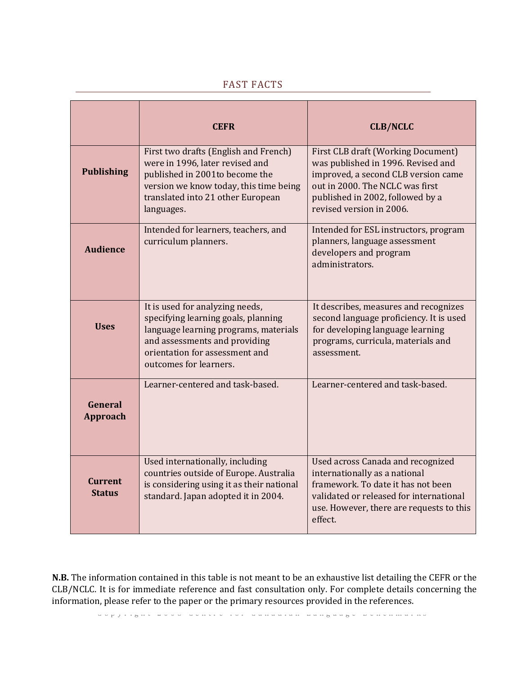<span id="page-28-0"></span>

|                                 | <b>CEFR</b>                                                                                                                                                                                                  | <b>CLB/NCLC</b>                                                                                                                                                                                                    |
|---------------------------------|--------------------------------------------------------------------------------------------------------------------------------------------------------------------------------------------------------------|--------------------------------------------------------------------------------------------------------------------------------------------------------------------------------------------------------------------|
| <b>Publishing</b>               | First two drafts (English and French)<br>were in 1996, later revised and<br>published in 2001to become the<br>version we know today, this time being<br>translated into 21 other European<br>languages.      | First CLB draft (Working Document)<br>was published in 1996. Revised and<br>improved, a second CLB version came<br>out in 2000. The NCLC was first<br>published in 2002, followed by a<br>revised version in 2006. |
| <b>Audience</b>                 | Intended for learners, teachers, and<br>curriculum planners.                                                                                                                                                 | Intended for ESL instructors, program<br>planners, language assessment<br>developers and program<br>administrators.                                                                                                |
| <b>Uses</b>                     | It is used for analyzing needs,<br>specifying learning goals, planning<br>language learning programs, materials<br>and assessments and providing<br>orientation for assessment and<br>outcomes for learners. | It describes, measures and recognizes<br>second language proficiency. It is used<br>for developing language learning<br>programs, curricula, materials and<br>assessment.                                          |
| General<br>Approach             | Learner-centered and task-based.                                                                                                                                                                             | Learner-centered and task-based.                                                                                                                                                                                   |
| <b>Current</b><br><b>Status</b> | Used internationally, including<br>countries outside of Europe. Australia<br>is considering using it as their national<br>standard. Japan adopted it in 2004.                                                | <b>Used across Canada and recognized</b><br>internationally as a national<br>framework. To date it has not been<br>validated or released for international<br>use. However, there are requests to this<br>effect.  |

## FAST FACTS

CLB/NCLC. It is for immediate reference and fast consultation only. For complete details concerning the **N.B.** The information contained in this table is not meant to be an exhaustive list detailing the CEFR or the information, please refer to the paper or the primary resources provided in the references.

c p y r i g n e a o o contre tor canadian nanguage penenmarne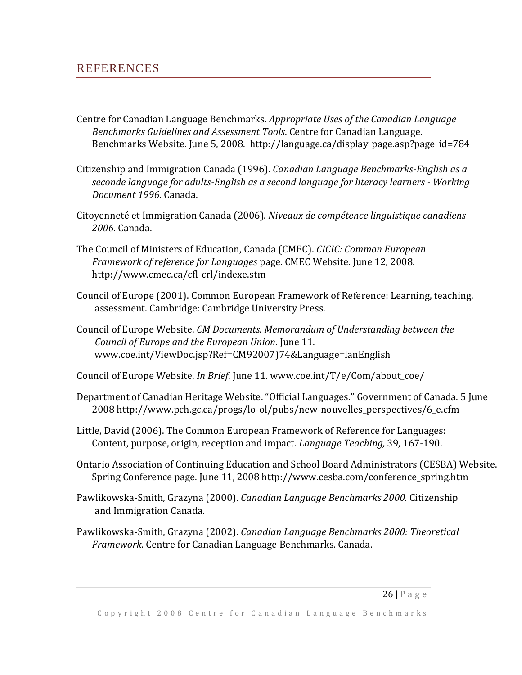## <span id="page-29-0"></span>**REFERENCES**

- Centre for Canadian Language Benchmarks. *Appropriate Uses of the Canadian Language Benchmarks Guidelines and Assessment Tools*. Centre for Canadian Language. Benchmarks Website. June 5, 2008. http://language.ca/display\_page.asp?page\_id=784
- Citizenship and Immigration Canada (1996). *Canadian Language Benchmarks-English as a seconde language for adults-English as a second language for literacy learners - Working Document 1996*. Canada.
- Citoyenneté et Immigration Canada (2006). *Niveaux de compétence linguistique canadiens 2006.* Canada.
- The Council of Ministers of Education, Canada (CMEC). *CICIC: Common European Framework of reference for Languages* page. CMEC Website. June 12, 2008. http://www.cmec.ca/cfl-crl/indexe.stm
- Council of Europe (2001). Common European Framework of Reference: Learning, teaching, assessment. Cambridge: Cambridge University Press.
- Council of Europe Website. *CM Documents. Memorandum of Understanding between the Council of Europe and the European Union*. June 11. www.coe.int/ViewDoc.jsp?Ref=CM92007)74&Language=lanEnglish

Council of Europe Website. *In Brief*. June 11. www.coe.int/T/e/Com/about\_coe/

- Department of Canadian Heritage Website. "Official Languages." Government of Canada. 5 June 2008 http://www.pch.gc.ca/progs/lo-ol/pubs/new-nouvelles\_perspectives/6\_e.cfm
- Little, David (2006). The Common European Framework of Reference for Languages: Content, purpose, origin, reception and impact. *Language Teaching,* 39, 167-190.
- Ontario Association of Continuing Education and School Board Administrators (CESBA) Website. Spring Conference page. June 11, 2008 http://www.cesba.com/conference\_spring.htm
- Pawlikowska-Smith, Grazyna (2000). *Canadian Language Benchmarks 2000.* Citizenship and Immigration Canada.
- Pawlikowska-Smith, Grazyna (2002). *Canadian Language Benchmarks 2000: Theoretical Framework.* Centre for Canadian Language Benchmarks*.* Canada.